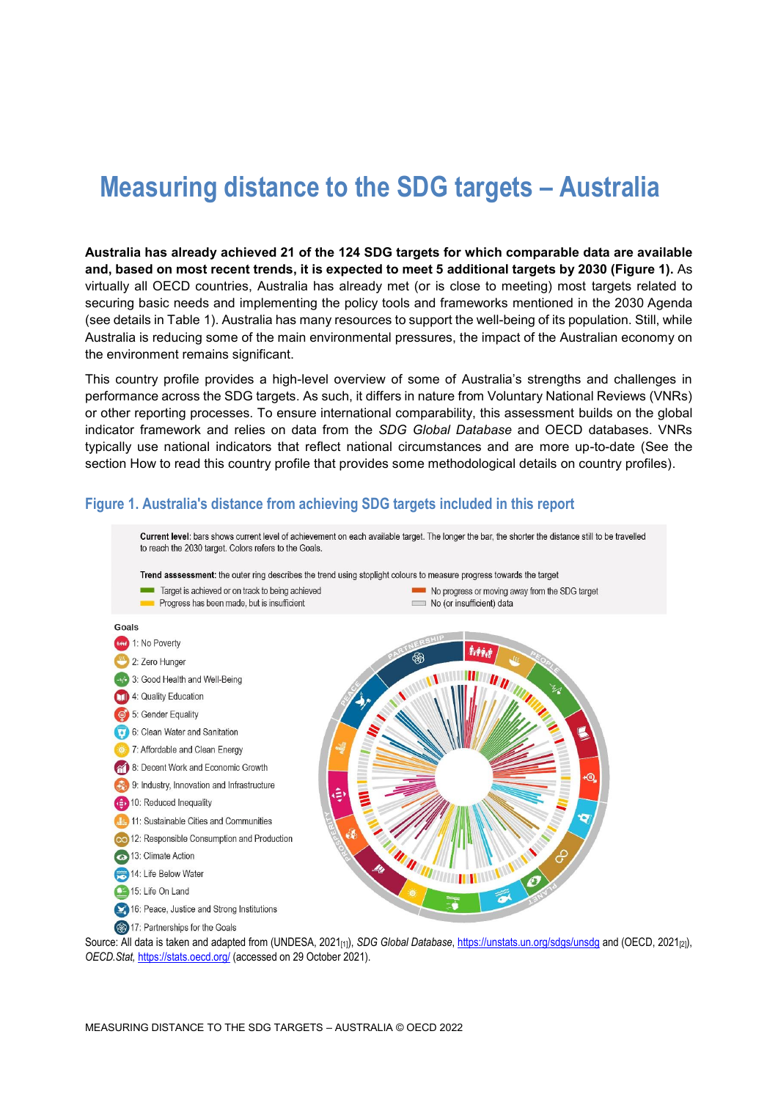# **Measuring distance to the SDG targets – Australia**

**Australia has already achieved 21 of the 124 SDG targets for which comparable data are available and, based on most recent trends, it is expected to meet 5 additional targets by 2030 [\(Figure](#page-0-0) 1).** As virtually all OECD countries, Australia has already met (or is close to meeting) most targets related to securing basic needs and implementing the policy tools and frameworks mentioned in the 2030 Agenda (see details in [Table](#page-3-0) 1). Australia has many resources to support the well-being of its population. Still, while Australia is reducing some of the main environmental pressures, the impact of the Australian economy on the environment remains significant.

This country profile provides a high-level overview of some of Australia's strengths and challenges in performance across the SDG targets. As such, it differs in nature from Voluntary National Reviews (VNRs) or other reporting processes. To ensure international comparability, this assessment builds on the global indicator framework and relies on data from the *SDG Global Database* and OECD databases. VNRs typically use national indicators that reflect national circumstances and are more up-to-date (See the section [How to read this](#page-7-0) country profile that provides some methodological details on country profiles).



#### <span id="page-0-0"></span>**Figure 1. Australia's distance from achieving SDG targets included in this report**

Source: All data is taken and adapted from (UNDESA, 2021<sub>[1]</sub>), *SDG Global Database*[, https://unstats.un.org/sdgs/unsdg](https://unstats.un.org/sdgs/unsdg) and (OECD, 2021<sub>[2]</sub>), *OECD.Stat,* <https://stats.oecd.org/> (accessed on 29 October 2021).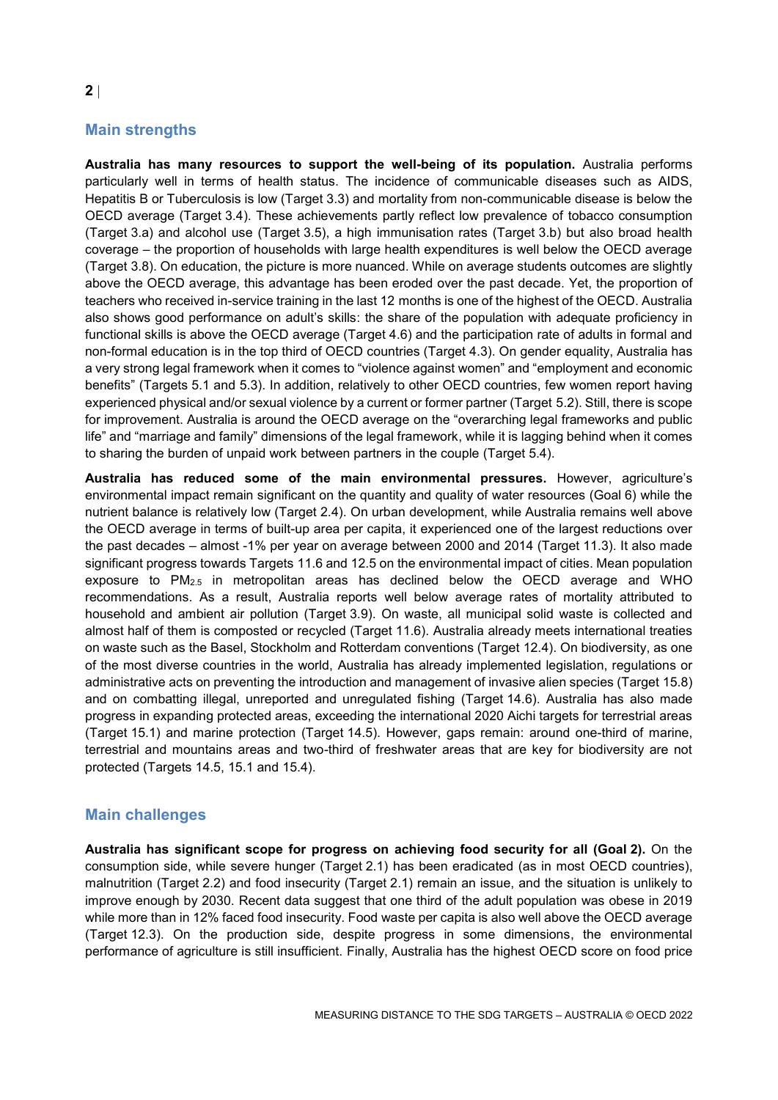# **Main strengths**

**Australia has many resources to support the well-being of its population.** Australia performs particularly well in terms of health status. The incidence of communicable diseases such as AIDS, Hepatitis B or Tuberculosis is low (Target 3.3) and mortality from non-communicable disease is below the OECD average (Target 3.4). These achievements partly reflect low prevalence of tobacco consumption (Target 3.a) and alcohol use (Target 3.5), a high immunisation rates (Target 3.b) but also broad health coverage – the proportion of households with large health expenditures is well below the OECD average (Target 3.8). On education, the picture is more nuanced. While on average students outcomes are slightly above the OECD average, this advantage has been eroded over the past decade. Yet, the proportion of teachers who received in-service training in the last 12 months is one of the highest of the OECD. Australia also shows good performance on adult's skills: the share of the population with adequate proficiency in functional skills is above the OECD average (Target 4.6) and the participation rate of adults in formal and non-formal education is in the top third of OECD countries (Target 4.3). On gender equality, Australia has a very strong legal framework when it comes to "violence against women" and "employment and economic benefits" (Targets 5.1 and 5.3). In addition, relatively to other OECD countries, few women report having experienced physical and/or sexual violence by a current or former partner (Target 5.2). Still, there is scope for improvement. Australia is around the OECD average on the "overarching legal frameworks and public life" and "marriage and family" dimensions of the legal framework, while it is lagging behind when it comes to sharing the burden of unpaid work between partners in the couple (Target 5.4).

**Australia has reduced some of the main environmental pressures.** However, agriculture's environmental impact remain significant on the quantity and quality of water resources (Goal 6) while the nutrient balance is relatively low (Target 2.4). On urban development, while Australia remains well above the OECD average in terms of built-up area per capita, it experienced one of the largest reductions over the past decades – almost -1% per year on average between 2000 and 2014 (Target 11.3). It also made significant progress towards Targets 11.6 and 12.5 on the environmental impact of cities. Mean population exposure to PM2.5 in metropolitan areas has declined below the OECD average and WHO recommendations. As a result, Australia reports well below average rates of mortality attributed to household and ambient air pollution (Target 3.9). On waste, all municipal solid waste is collected and almost half of them is composted or recycled (Target 11.6). Australia already meets international treaties on waste such as the Basel, Stockholm and Rotterdam conventions (Target 12.4). On biodiversity, as one of the most diverse countries in the world, Australia has already implemented legislation, regulations or administrative acts on preventing the introduction and management of invasive alien species (Target 15.8) and on combatting illegal, unreported and unregulated fishing (Target 14.6). Australia has also made progress in expanding protected areas, exceeding the international 2020 Aichi targets for terrestrial areas (Target 15.1) and marine protection (Target 14.5). However, gaps remain: around one-third of marine, terrestrial and mountains areas and two-third of freshwater areas that are key for biodiversity are not protected (Targets 14.5, 15.1 and 15.4).

## **Main challenges**

**Australia has significant scope for progress on achieving food security for all (Goal 2).** On the consumption side, while severe hunger (Target 2.1) has been eradicated (as in most OECD countries), malnutrition (Target 2.2) and food insecurity (Target 2.1) remain an issue, and the situation is unlikely to improve enough by 2030. Recent data suggest that one third of the adult population was obese in 2019 while more than in 12% faced food insecurity. Food waste per capita is also well above the OECD average (Target 12.3). On the production side, despite progress in some dimensions, the environmental performance of agriculture is still insufficient. Finally, Australia has the highest OECD score on food price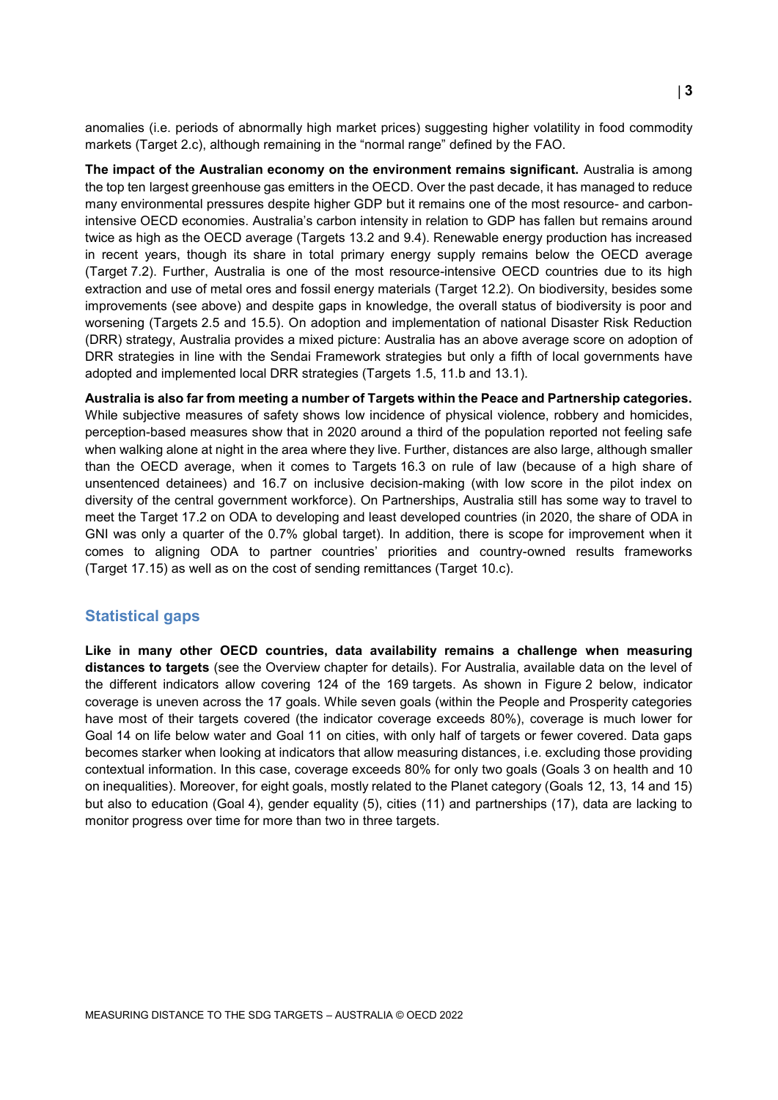anomalies (i.e. periods of abnormally high market prices) suggesting higher volatility in food commodity markets (Target 2.c), although remaining in the "normal range" defined by the FAO.

**The impact of the Australian economy on the environment remains significant.** Australia is among the top ten largest greenhouse gas emitters in the OECD. Over the past decade, it has managed to reduce many environmental pressures despite higher GDP but it remains one of the most resource- and carbonintensive OECD economies. Australia's carbon intensity in relation to GDP has fallen but remains around twice as high as the OECD average (Targets 13.2 and 9.4). Renewable energy production has increased in recent years, though its share in total primary energy supply remains below the OECD average (Target 7.2). Further, Australia is one of the most resource-intensive OECD countries due to its high extraction and use of metal ores and fossil energy materials (Target 12.2). On biodiversity, besides some improvements (see above) and despite gaps in knowledge, the overall status of biodiversity is poor and worsening (Targets 2.5 and 15.5). On adoption and implementation of national Disaster Risk Reduction (DRR) strategy, Australia provides a mixed picture: Australia has an above average score on adoption of DRR strategies in line with the Sendai Framework strategies but only a fifth of local governments have adopted and implemented local DRR strategies (Targets 1.5, 11.b and 13.1).

**Australia is also far from meeting a number of Targets within the Peace and Partnership categories.** While subjective measures of safety shows low incidence of physical violence, robbery and homicides, perception-based measures show that in 2020 around a third of the population reported not feeling safe when walking alone at night in the area where they live. Further, distances are also large, although smaller than the OECD average, when it comes to Targets 16.3 on rule of law (because of a high share of unsentenced detainees) and 16.7 on inclusive decision-making (with low score in the pilot index on diversity of the central government workforce). On Partnerships, Australia still has some way to travel to meet the Target 17.2 on ODA to developing and least developed countries (in 2020, the share of ODA in GNI was only a quarter of the 0.7% global target). In addition, there is scope for improvement when it comes to aligning ODA to partner countries' priorities and country-owned results frameworks (Target 17.15) as well as on the cost of sending remittances (Target 10.c).

#### **Statistical gaps**

**Like in many other OECD countries, data availability remains a challenge when measuring distances to targets** (see the Overview chapter for details). For Australia, available data on the level of the different indicators allow covering 124 of the 169 targets. As shown in [Figure](#page-3-1) 2 below, indicator coverage is uneven across the 17 goals. While seven goals (within the People and Prosperity categories have most of their targets covered (the indicator coverage exceeds 80%), coverage is much lower for Goal 14 on life below water and Goal 11 on cities, with only half of targets or fewer covered. Data gaps becomes starker when looking at indicators that allow measuring distances, i.e. excluding those providing contextual information. In this case, coverage exceeds 80% for only two goals (Goals 3 on health and 10 on inequalities). Moreover, for eight goals, mostly related to the Planet category (Goals 12, 13, 14 and 15) but also to education (Goal 4), gender equality (5), cities (11) and partnerships (17), data are lacking to monitor progress over time for more than two in three targets.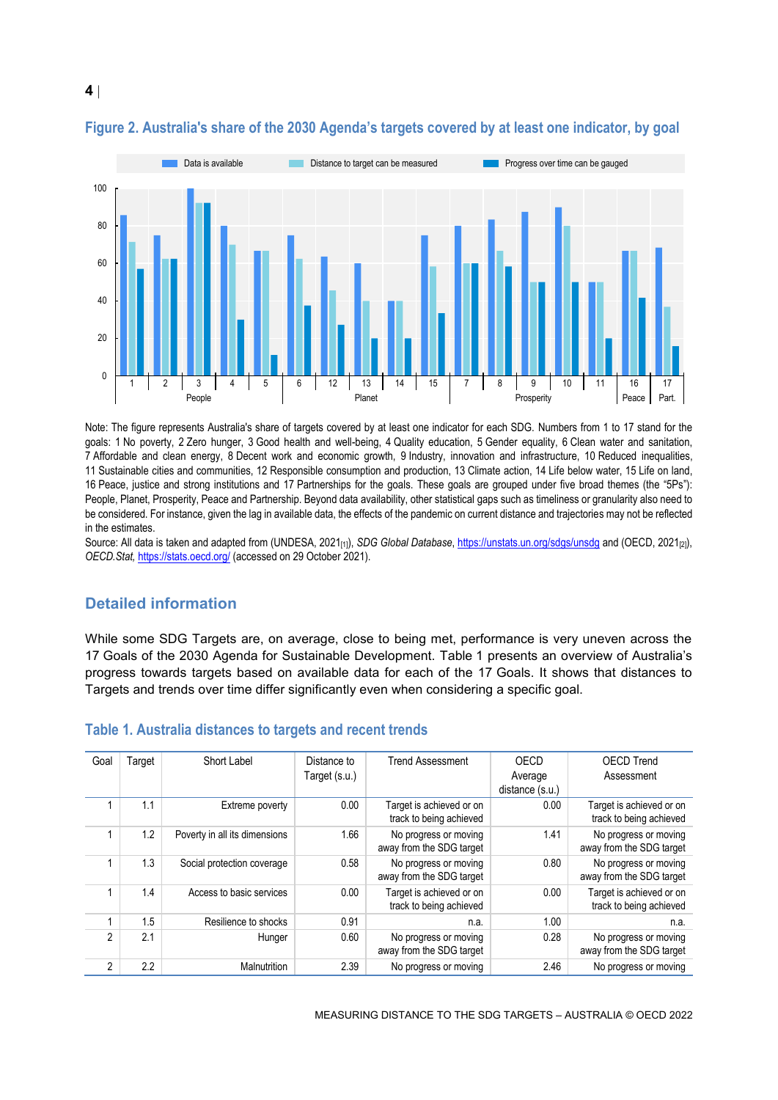

### <span id="page-3-1"></span>**Figure 2. Australia's share of the 2030 Agenda's targets covered by at least one indicator, by goal**

Note: The figure represents Australia's share of targets covered by at least one indicator for each SDG. Numbers from 1 to 17 stand for the goals: 1 No poverty, 2 Zero hunger, 3 Good health and well-being, 4 Quality education, 5 Gender equality, 6 Clean water and sanitation, 7 Affordable and clean energy, 8 Decent work and economic growth, 9 Industry, innovation and infrastructure, 10 Reduced inequalities, 11 Sustainable cities and communities, 12 Responsible consumption and production, 13 Climate action, 14 Life below water, 15 Life on land, 16 Peace, justice and strong institutions and 17 Partnerships for the goals. These goals are grouped under five broad themes (the "5Ps"): People, Planet, Prosperity, Peace and Partnership. Beyond data availability, other statistical gaps such as timeliness or granularity also need to be considered. For instance, given the lag in available data, the effects of the pandemic on current distance and trajectories may not be reflected in the estimates.

Source: All data is taken and adapted from (UNDESA, 2021<sub>[1]</sub>), *SDG Global Database*[, https://unstats.un.org/sdgs/unsdg](https://unstats.un.org/sdgs/unsdg) and (OECD, 2021<sub>[2]</sub>), *OECD.Stat,* <https://stats.oecd.org/> (accessed on 29 October 2021).

## **Detailed information**

While some SDG Targets are, on average, close to being met, performance is very uneven across the 17 Goals of the 2030 Agenda for Sustainable Development. [Table](#page-3-0) 1 presents an overview of Australia's progress towards targets based on available data for each of the 17 Goals. It shows that distances to Targets and trends over time differ significantly even when considering a specific goal.

| Goal           | Target | Short Label                   | Distance to   | <b>Trend Assessment</b>                             | OECD            | <b>OECD Trend</b>                                   |
|----------------|--------|-------------------------------|---------------|-----------------------------------------------------|-----------------|-----------------------------------------------------|
|                |        |                               | Target (s.u.) |                                                     | Average         | Assessment                                          |
|                |        |                               |               |                                                     | distance (s.u.) |                                                     |
|                | 1.1    | Extreme poverty               | 0.00          | Target is achieved or on<br>track to being achieved | 0.00            | Target is achieved or on<br>track to being achieved |
|                | 1.2    | Poverty in all its dimensions | 1.66          | No progress or moving<br>away from the SDG target   | 1.41            | No progress or moving<br>away from the SDG target   |
|                | 1.3    | Social protection coverage    | 0.58          | No progress or moving<br>away from the SDG target   | 0.80            | No progress or moving<br>away from the SDG target   |
|                | 1.4    | Access to basic services      | 0.00          | Target is achieved or on<br>track to being achieved | 0.00            | Target is achieved or on<br>track to being achieved |
|                | 1.5    | Resilience to shocks          | 0.91          | n.a.                                                | 1.00            | n.a.                                                |
| 2              | 2.1    | Hunger                        | 0.60          | No progress or moving<br>away from the SDG target   | 0.28            | No progress or moving<br>away from the SDG target   |
| $\overline{2}$ | 2.2    | Malnutrition                  | 2.39          | No progress or moving                               | 2.46            | No progress or moving                               |

#### <span id="page-3-0"></span>**Table 1. Australia distances to targets and recent trends**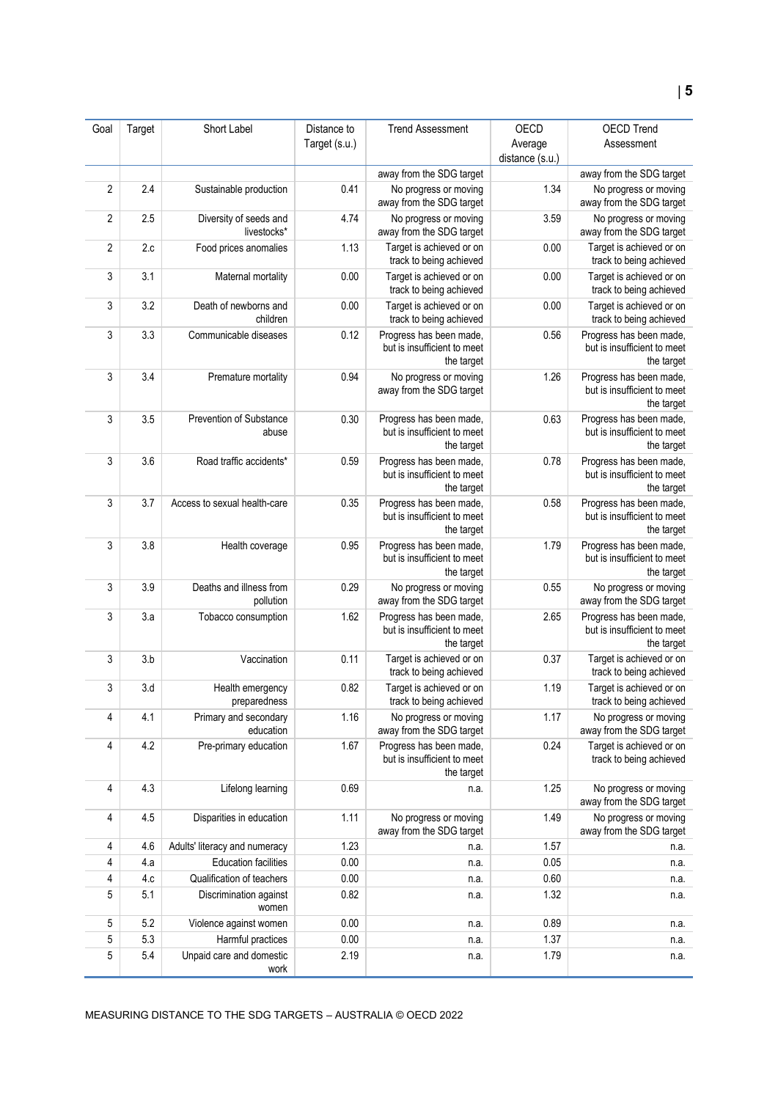| Goal           | Target | Short Label                           | Distance to   | <b>Trend Assessment</b>                                              | OECD            | <b>OECD Trend</b>                                                    |
|----------------|--------|---------------------------------------|---------------|----------------------------------------------------------------------|-----------------|----------------------------------------------------------------------|
|                |        |                                       | Target (s.u.) |                                                                      | Average         | Assessment                                                           |
|                |        |                                       |               | away from the SDG target                                             | distance (s.u.) | away from the SDG target                                             |
| $\overline{2}$ | 2.4    | Sustainable production                | 0.41          | No progress or moving                                                | 1.34            | No progress or moving                                                |
|                |        |                                       |               | away from the SDG target                                             |                 | away from the SDG target                                             |
| $\overline{2}$ | 2.5    | Diversity of seeds and<br>livestocks* | 4.74          | No progress or moving<br>away from the SDG target                    | 3.59            | No progress or moving<br>away from the SDG target                    |
| $\overline{2}$ | 2.c    | Food prices anomalies                 | 1.13          | Target is achieved or on<br>track to being achieved                  | 0.00            | Target is achieved or on<br>track to being achieved                  |
| 3              | 3.1    | Maternal mortality                    | 0.00          | Target is achieved or on<br>track to being achieved                  | 0.00            | Target is achieved or on<br>track to being achieved                  |
| 3              | 3.2    | Death of newborns and<br>children     | 0.00          | Target is achieved or on<br>track to being achieved                  | 0.00            | Target is achieved or on<br>track to being achieved                  |
| 3              | 3.3    | Communicable diseases                 | 0.12          | Progress has been made,<br>but is insufficient to meet<br>the target | 0.56            | Progress has been made,<br>but is insufficient to meet<br>the target |
| 3              | 3.4    | Premature mortality                   | 0.94          | No progress or moving<br>away from the SDG target                    | 1.26            | Progress has been made,<br>but is insufficient to meet<br>the target |
| 3              | 3.5    | Prevention of Substance<br>abuse      | 0.30          | Progress has been made,<br>but is insufficient to meet<br>the target | 0.63            | Progress has been made,<br>but is insufficient to meet<br>the target |
| 3              | 3.6    | Road traffic accidents*               | 0.59          | Progress has been made,<br>but is insufficient to meet<br>the target | 0.78            | Progress has been made,<br>but is insufficient to meet<br>the target |
| 3              | 3.7    | Access to sexual health-care          | 0.35          | Progress has been made,<br>but is insufficient to meet<br>the target | 0.58            | Progress has been made,<br>but is insufficient to meet<br>the target |
| 3              | 3.8    | Health coverage                       | 0.95          | Progress has been made,<br>but is insufficient to meet<br>the target | 1.79            | Progress has been made,<br>but is insufficient to meet<br>the target |
| 3              | 3.9    | Deaths and illness from<br>pollution  | 0.29          | No progress or moving<br>away from the SDG target                    | 0.55            | No progress or moving<br>away from the SDG target                    |
| 3              | 3.a    | Tobacco consumption                   | 1.62          | Progress has been made,<br>but is insufficient to meet<br>the target | 2.65            | Progress has been made,<br>but is insufficient to meet<br>the target |
| 3              | 3.b    | Vaccination                           | 0.11          | Target is achieved or on<br>track to being achieved                  | 0.37            | Target is achieved or on<br>track to being achieved                  |
| 3              | 3.d    | Health emergency<br>preparedness      | 0.82          | Target is achieved or on<br>track to being achieved                  | 1.19            | Target is achieved or on<br>track to being achieved                  |
| 4              | 4.1    | Primary and secondary<br>education    | 1.16          | No progress or moving<br>away from the SDG target                    | 1.17            | No progress or moving<br>away from the SDG target                    |
| 4              | 4.2    | Pre-primary education                 | 1.67          | Progress has been made,<br>but is insufficient to meet<br>the target | 0.24            | Target is achieved or on<br>track to being achieved                  |
| 4              | 4.3    | Lifelong learning                     | 0.69          | n.a.                                                                 | 1.25            | No progress or moving<br>away from the SDG target                    |
| 4              | 4.5    | Disparities in education              | 1.11          | No progress or moving<br>away from the SDG target                    | 1.49            | No progress or moving<br>away from the SDG target                    |
| 4              | 4.6    | Adults' literacy and numeracy         | 1.23          | n.a.                                                                 | 1.57            | n.a.                                                                 |
| 4              | 4.a    | <b>Education facilities</b>           | 0.00          | n.a.                                                                 | 0.05            | n.a.                                                                 |
| 4              | 4.c    | Qualification of teachers             | 0.00          | n.a.                                                                 | 0.60            | n.a.                                                                 |
| 5              | 5.1    | Discrimination against<br>women       | 0.82          | n.a.                                                                 | 1.32            | n.a.                                                                 |
| 5              | 5.2    | Violence against women                | 0.00          | n.a.                                                                 | 0.89            | n.a.                                                                 |
| 5              | 5.3    | Harmful practices                     | 0.00          | n.a.                                                                 | 1.37            | n.a.                                                                 |
| 5              | 5.4    | Unpaid care and domestic<br>work      | 2.19          | n.a.                                                                 | 1.79            | n.a.                                                                 |

MEASURING DISTANCE TO THE SDG TARGETS – AUSTRALIA © OECD 2022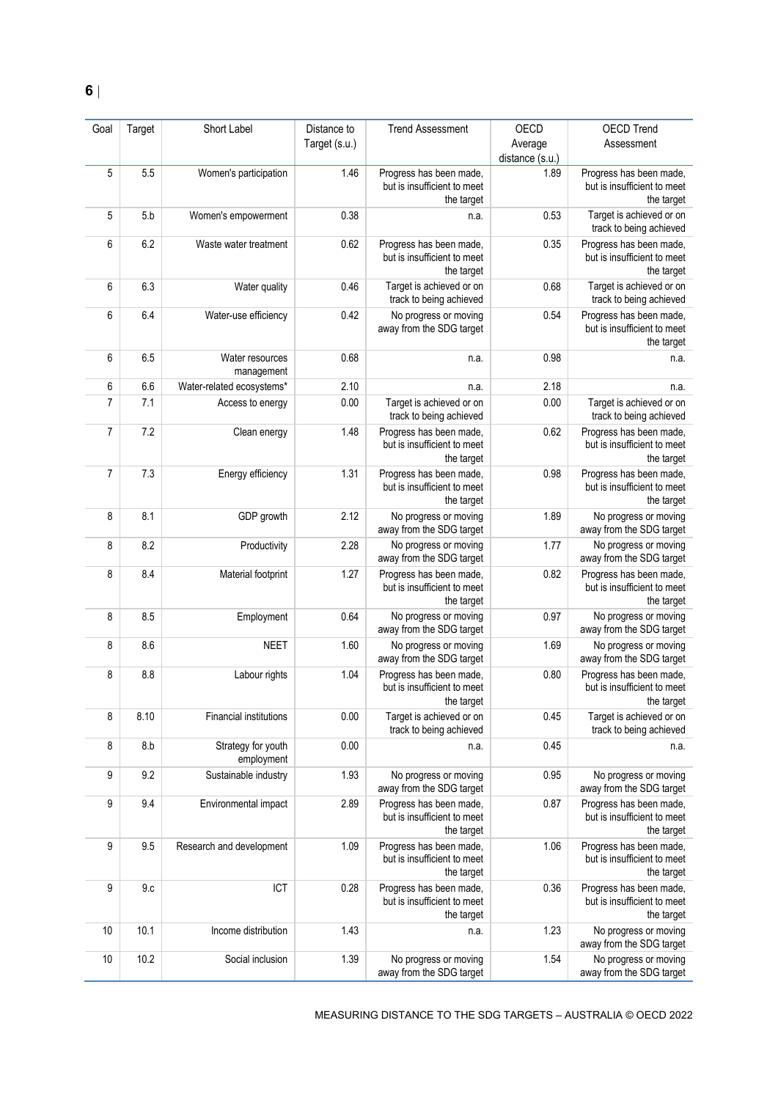| Goal           | Target | Short Label                      | Distance to   | <b>Trend Assessment</b>                                              | OECD            | <b>OECD Trend</b>                                                    |
|----------------|--------|----------------------------------|---------------|----------------------------------------------------------------------|-----------------|----------------------------------------------------------------------|
|                |        |                                  | Target (s.u.) |                                                                      | Average         | Assessment                                                           |
|                |        |                                  |               |                                                                      | distance (s.u.) |                                                                      |
| 5              | 5.5    | Women's participation            | 1.46          | Progress has been made,<br>but is insufficient to meet<br>the target | 1.89            | Progress has been made,<br>but is insufficient to meet<br>the target |
| 5              | 5.b    | Women's empowerment              | 0.38          | n.a.                                                                 | 0.53            | Target is achieved or on<br>track to being achieved                  |
| 6              | 6.2    | Waste water treatment            | 0.62          | Progress has been made,<br>but is insufficient to meet<br>the target | 0.35            | Progress has been made,<br>but is insufficient to meet<br>the target |
| 6              | 6.3    | Water quality                    | 0.46          | Target is achieved or on<br>track to being achieved                  | 0.68            | Target is achieved or on<br>track to being achieved                  |
| 6              | 6.4    | Water-use efficiency             | 0.42          | No progress or moving<br>away from the SDG target                    | 0.54            | Progress has been made,<br>but is insufficient to meet<br>the target |
| 6              | 6.5    | Water resources<br>management    | 0.68          | n.a.                                                                 | 0.98            | n.a.                                                                 |
| 6              | 6.6    | Water-related ecosystems*        | 2.10          | n.a.                                                                 | 2.18            | n.a.                                                                 |
| $\overline{7}$ | 7.1    | Access to energy                 | 0.00          | Target is achieved or on<br>track to being achieved                  | 0.00            | Target is achieved or on<br>track to being achieved                  |
| $\overline{7}$ | 7.2    | Clean energy                     | 1.48          | Progress has been made,<br>but is insufficient to meet<br>the target | 0.62            | Progress has been made,<br>but is insufficient to meet<br>the target |
| 7              | 7.3    | Energy efficiency                | 1.31          | Progress has been made,<br>but is insufficient to meet<br>the target | 0.98            | Progress has been made,<br>but is insufficient to meet<br>the target |
| 8              | 8.1    | GDP growth                       | 2.12          | No progress or moving<br>away from the SDG target                    | 1.89            | No progress or moving<br>away from the SDG target                    |
| 8              | 8.2    | Productivity                     | 2.28          | No progress or moving<br>away from the SDG target                    | 1.77            | No progress or moving<br>away from the SDG target                    |
| 8              | 8.4    | Material footprint               | 1.27          | Progress has been made,<br>but is insufficient to meet<br>the target | 0.82            | Progress has been made,<br>but is insufficient to meet<br>the target |
| 8              | 8.5    | Employment                       | 0.64          | No progress or moving<br>away from the SDG target                    | 0.97            | No progress or moving<br>away from the SDG target                    |
| 8              | 8.6    | <b>NEET</b>                      | 1.60          | No progress or moving<br>away from the SDG target                    | 1.69            | No progress or moving<br>away from the SDG target                    |
| 8              | 8.8    | Labour rights                    | 1.04          | Progress has been made,<br>but is insufficient to meet<br>the target | 0.80            | Progress has been made,<br>but is insufficient to meet<br>the target |
| 8              | 8.10   | <b>Financial institutions</b>    | 0.00          | Target is achieved or on<br>track to being achieved                  | 0.45            | Target is achieved or on<br>track to being achieved                  |
| 8              | 8.b    | Strategy for youth<br>employment | 0.00          | n.a.                                                                 | 0.45            | n.a.                                                                 |
| 9              | 9.2    | Sustainable industry             | 1.93          | No progress or moving<br>away from the SDG target                    | 0.95            | No progress or moving<br>away from the SDG target                    |
| 9              | 9.4    | Environmental impact             | 2.89          | Progress has been made,<br>but is insufficient to meet<br>the target | 0.87            | Progress has been made,<br>but is insufficient to meet<br>the target |
| 9              | 9.5    | Research and development         | 1.09          | Progress has been made,<br>but is insufficient to meet<br>the target | 1.06            | Progress has been made,<br>but is insufficient to meet<br>the target |
| 9              | 9.c    | ICT                              | 0.28          | Progress has been made,<br>but is insufficient to meet<br>the target | 0.36            | Progress has been made,<br>but is insufficient to meet<br>the target |
| 10             | 10.1   | Income distribution              | 1.43          | n.a.                                                                 | 1.23            | No progress or moving<br>away from the SDG target                    |
| 10             | 10.2   | Social inclusion                 | 1.39          | No progress or moving<br>away from the SDG target                    | 1.54            | No progress or moving<br>away from the SDG target                    |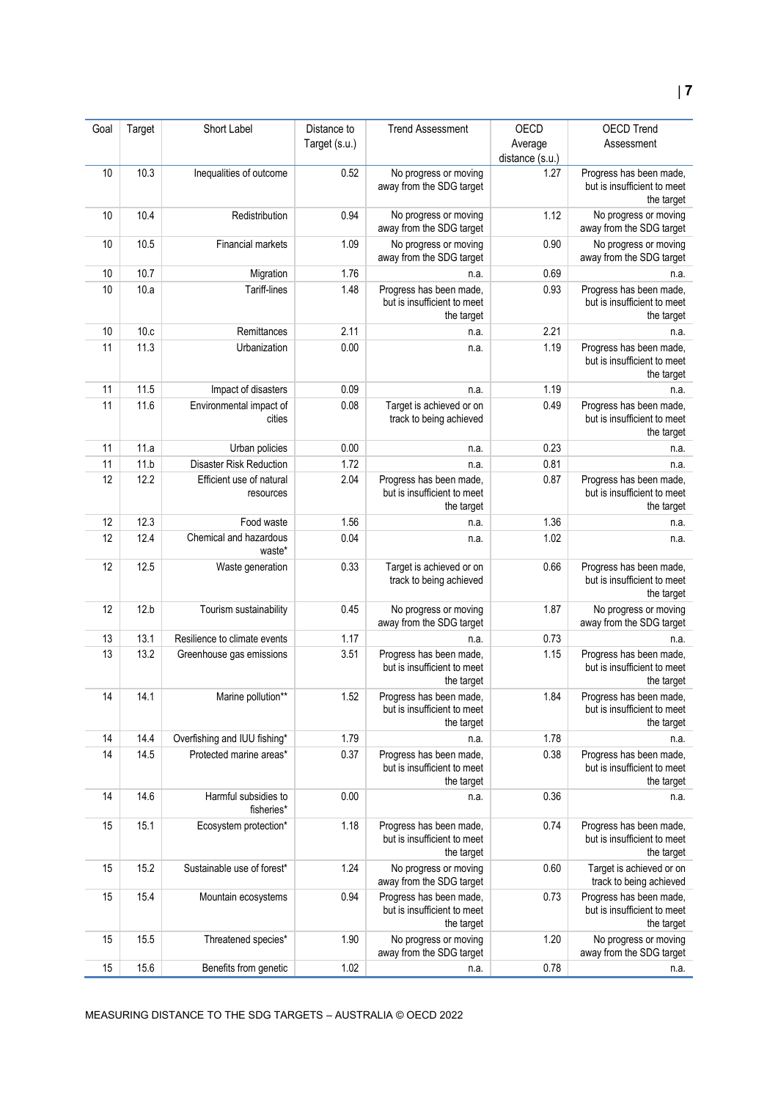| Goal | Target | Short Label                           | Distance to   | <b>Trend Assessment</b>                                              | OECD            | <b>OECD Trend</b>                                                    |
|------|--------|---------------------------------------|---------------|----------------------------------------------------------------------|-----------------|----------------------------------------------------------------------|
|      |        |                                       | Target (s.u.) |                                                                      | Average         | Assessment                                                           |
|      |        |                                       |               |                                                                      | distance (s.u.) |                                                                      |
| 10   | 10.3   | Inequalities of outcome               | 0.52          | No progress or moving<br>away from the SDG target                    | 1.27            | Progress has been made,<br>but is insufficient to meet<br>the target |
| 10   | 10.4   | Redistribution                        | 0.94          | No progress or moving<br>away from the SDG target                    | 1.12            | No progress or moving<br>away from the SDG target                    |
| 10   | 10.5   | Financial markets                     | 1.09          | No progress or moving<br>away from the SDG target                    | 0.90            | No progress or moving<br>away from the SDG target                    |
| 10   | 10.7   | Migration                             | 1.76          | n.a.                                                                 | 0.69            | n.a.                                                                 |
| 10   | 10.a   | Tariff-lines                          | 1.48          | Progress has been made,<br>but is insufficient to meet<br>the target | 0.93            | Progress has been made,<br>but is insufficient to meet<br>the target |
| 10   | 10.c   | Remittances                           | 2.11          | n.a.                                                                 | 2.21            | n.a.                                                                 |
| 11   | 11.3   | Urbanization                          | 0.00          | n.a.                                                                 | 1.19            | Progress has been made,<br>but is insufficient to meet<br>the target |
| 11   | 11.5   | Impact of disasters                   | 0.09          | n.a.                                                                 | 1.19            | n.a.                                                                 |
| 11   | 11.6   | Environmental impact of<br>cities     | 0.08          | Target is achieved or on<br>track to being achieved                  | 0.49            | Progress has been made,<br>but is insufficient to meet<br>the target |
| 11   | 11.a   | Urban policies                        | 0.00          | n.a.                                                                 | 0.23            | n.a.                                                                 |
| 11   | 11.b   | <b>Disaster Risk Reduction</b>        | 1.72          | n.a.                                                                 | 0.81            | n.a.                                                                 |
| 12   | 12.2   | Efficient use of natural<br>resources | 2.04          | Progress has been made,<br>but is insufficient to meet<br>the target | 0.87            | Progress has been made,<br>but is insufficient to meet<br>the target |
| 12   | 12.3   | Food waste                            | 1.56          | n.a.                                                                 | 1.36            | n.a.                                                                 |
| 12   | 12.4   | Chemical and hazardous<br>waste*      | 0.04          | n.a.                                                                 | 1.02            | n.a.                                                                 |
| 12   | 12.5   | Waste generation                      | 0.33          | Target is achieved or on<br>track to being achieved                  | 0.66            | Progress has been made,<br>but is insufficient to meet<br>the target |
| 12   | 12.b   | Tourism sustainability                | 0.45          | No progress or moving<br>away from the SDG target                    | 1.87            | No progress or moving<br>away from the SDG target                    |
| 13   | 13.1   | Resilience to climate events          | 1.17          | n.a.                                                                 | 0.73            | n.a.                                                                 |
| 13   | 13.2   | Greenhouse gas emissions              | 3.51          | Progress has been made,<br>but is insufficient to meet<br>the target | 1.15            | Progress has been made,<br>but is insufficient to meet<br>the target |
| 14   | 14.1   | Marine pollution**                    | 1.52          | Progress has been made.<br>but is insufficient to meet<br>the target | 1.84            | Progress has been made<br>but is insufficient to meet<br>the target  |
| 14   | 14.4   | Overfishing and IUU fishing*          | 1.79          | n.a.                                                                 | 1.78            | n.a.                                                                 |
| 14   | 14.5   | Protected marine areas*               | 0.37          | Progress has been made,<br>but is insufficient to meet<br>the target | 0.38            | Progress has been made,<br>but is insufficient to meet<br>the target |
| 14   | 14.6   | Harmful subsidies to<br>fisheries*    | 0.00          | n.a.                                                                 | 0.36            | n.a.                                                                 |
| 15   | 15.1   | Ecosystem protection*                 | 1.18          | Progress has been made,<br>but is insufficient to meet<br>the target | 0.74            | Progress has been made,<br>but is insufficient to meet<br>the target |
| 15   | 15.2   | Sustainable use of forest*            | 1.24          | No progress or moving<br>away from the SDG target                    | 0.60            | Target is achieved or on<br>track to being achieved                  |
| 15   | 15.4   | Mountain ecosystems                   | 0.94          | Progress has been made,<br>but is insufficient to meet<br>the target | 0.73            | Progress has been made,<br>but is insufficient to meet<br>the target |
| 15   | 15.5   | Threatened species*                   | 1.90          | No progress or moving<br>away from the SDG target                    | 1.20            | No progress or moving<br>away from the SDG target                    |
| 15   | 15.6   | Benefits from genetic                 | 1.02          | n.a.                                                                 | 0.78            | n.a.                                                                 |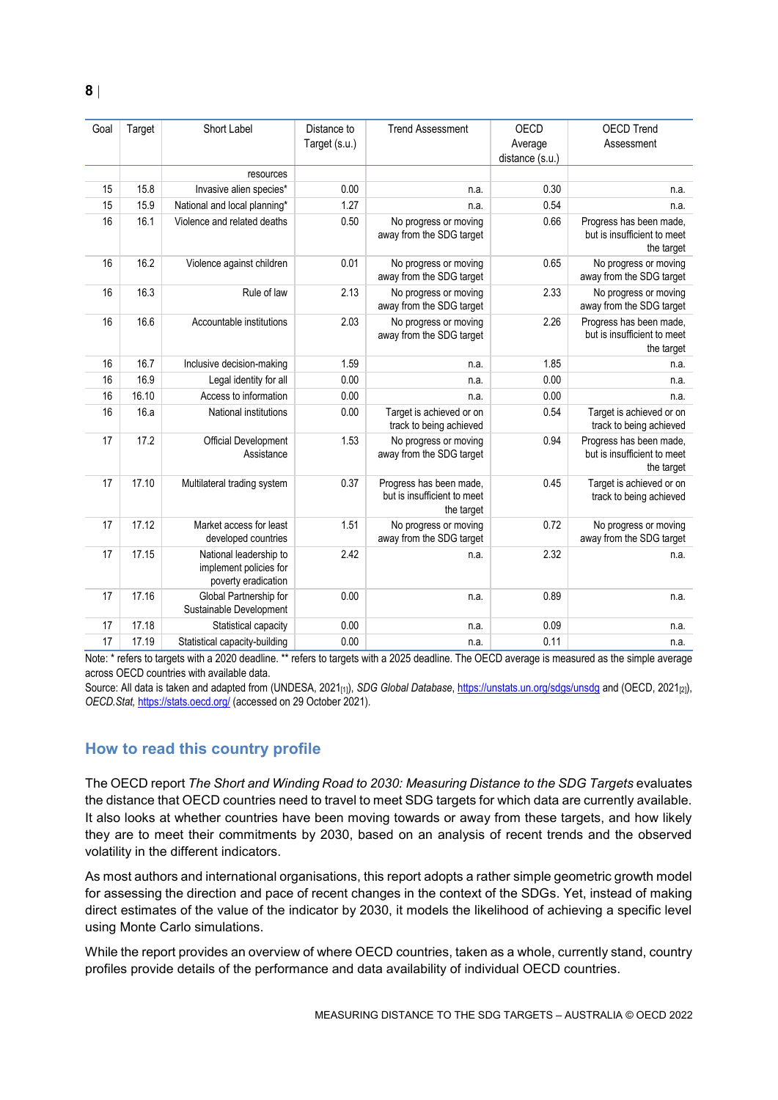| Goal | Target | Short Label                                                             | Distance to<br>Target (s.u.) | <b>Trend Assessment</b>                                              | <b>OECD</b><br>Average | <b>OECD Trend</b><br>Assessment                                      |
|------|--------|-------------------------------------------------------------------------|------------------------------|----------------------------------------------------------------------|------------------------|----------------------------------------------------------------------|
|      |        | resources                                                               |                              |                                                                      | distance (s.u.)        |                                                                      |
| 15   | 15.8   | Invasive alien species*                                                 | 0.00                         | n.a.                                                                 | 0.30                   | n.a.                                                                 |
| 15   | 15.9   | National and local planning*                                            | 1.27                         | n.a.                                                                 | 0.54                   | n.a.                                                                 |
| 16   | 16.1   | Violence and related deaths                                             | 0.50                         | No progress or moving                                                | 0.66                   | Progress has been made,                                              |
|      |        |                                                                         |                              | away from the SDG target                                             |                        | but is insufficient to meet<br>the target                            |
| 16   | 16.2   | Violence against children                                               | 0.01                         | No progress or moving<br>away from the SDG target                    | 0.65                   | No progress or moving<br>away from the SDG target                    |
| 16   | 16.3   | Rule of law                                                             | 2.13                         | No progress or moving<br>away from the SDG target                    | 2.33                   | No progress or moving<br>away from the SDG target                    |
| 16   | 16.6   | Accountable institutions                                                | 2.03                         | No progress or moving<br>away from the SDG target                    | 2.26                   | Progress has been made,<br>but is insufficient to meet<br>the target |
| 16   | 16.7   | Inclusive decision-making                                               | 1.59                         | n.a.                                                                 | 1.85                   | n.a.                                                                 |
| 16   | 16.9   | Legal identity for all                                                  | 0.00                         | n.a.                                                                 | 0.00                   | n.a.                                                                 |
| 16   | 16.10  | Access to information                                                   | 0.00                         | n.a.                                                                 | 0.00                   | n.a.                                                                 |
| 16   | 16.a   | National institutions                                                   | 0.00                         | Target is achieved or on<br>track to being achieved                  | 0.54                   | Target is achieved or on<br>track to being achieved                  |
| 17   | 17.2   | Official Development<br>Assistance                                      | 1.53                         | No progress or moving<br>away from the SDG target                    | 0.94                   | Progress has been made,<br>but is insufficient to meet<br>the target |
| 17   | 17.10  | Multilateral trading system                                             | 0.37                         | Progress has been made,<br>but is insufficient to meet<br>the target | 0.45                   | Target is achieved or on<br>track to being achieved                  |
| 17   | 17.12  | Market access for least<br>developed countries                          | 1.51                         | No progress or moving<br>away from the SDG target                    | 0.72                   | No progress or moving<br>away from the SDG target                    |
| 17   | 17.15  | National leadership to<br>implement policies for<br>poverty eradication | 2.42                         | n.a.                                                                 | 2.32                   | n.a.                                                                 |
| 17   | 17.16  | Global Partnership for<br>Sustainable Development                       | 0.00                         | n.a.                                                                 | 0.89                   | n.a.                                                                 |
| 17   | 17.18  | Statistical capacity                                                    | 0.00                         | n.a.                                                                 | 0.09                   | n.a.                                                                 |
| 17   | 17.19  | Statistical capacity-building                                           | 0.00                         | n.a.                                                                 | 0.11                   | n.a.                                                                 |

Note: \* refers to targets with a 2020 deadline. \*\* refers to targets with a 2025 deadline. The OECD average is measured as the simple average across OECD countries with available data.

<span id="page-7-0"></span>Source: All data is taken and adapted from (UNDESA, 2021<sub>[1]</sub>), *SDG Global Database*[, https://unstats.un.org/sdgs/unsdg](https://unstats.un.org/sdgs/unsdg) and (OECD, 2021<sub>[2]</sub>), *OECD.Stat,* <https://stats.oecd.org/> (accessed on 29 October 2021).

# **How to read this country profile**

The OECD report *The Short and Winding Road to 2030: Measuring Distance to the SDG Targets* evaluates the distance that OECD countries need to travel to meet SDG targets for which data are currently available. It also looks at whether countries have been moving towards or away from these targets, and how likely they are to meet their commitments by 2030, based on an analysis of recent trends and the observed volatility in the different indicators.

As most authors and international organisations, this report adopts a rather simple geometric growth model for assessing the direction and pace of recent changes in the context of the SDGs. Yet, instead of making direct estimates of the value of the indicator by 2030, it models the likelihood of achieving a specific level using Monte Carlo simulations.

While the report provides an overview of where OECD countries, taken as a whole, currently stand, country profiles provide details of the performance and data availability of individual OECD countries.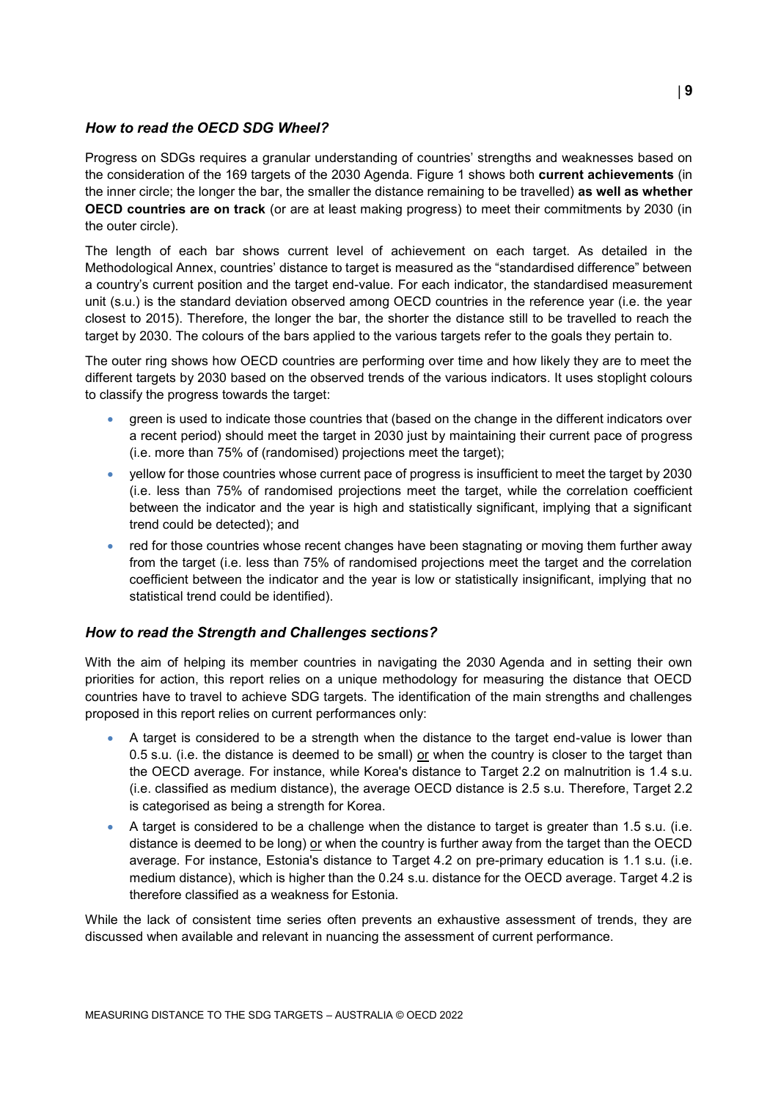#### *How to read the OECD SDG Wheel?*

Progress on SDGs requires a granular understanding of countries' strengths and weaknesses based on the consideration of the 169 targets of the 2030 Agenda. [Figure](#page-0-0) 1 shows both **current achievements** (in the inner circle; the longer the bar, the smaller the distance remaining to be travelled) **as well as whether OECD countries are on track** (or are at least making progress) to meet their commitments by 2030 (in the outer circle).

The length of each bar shows current level of achievement on each target. As detailed in the Methodological Annex, countries' distance to target is measured as the "standardised difference" between a country's current position and the target end-value. For each indicator, the standardised measurement unit (s.u.) is the standard deviation observed among OECD countries in the reference year (i.e. the year closest to 2015). Therefore, the longer the bar, the shorter the distance still to be travelled to reach the target by 2030. The colours of the bars applied to the various targets refer to the goals they pertain to.

The outer ring shows how OECD countries are performing over time and how likely they are to meet the different targets by 2030 based on the observed trends of the various indicators. It uses stoplight colours to classify the progress towards the target:

- green is used to indicate those countries that (based on the change in the different indicators over a recent period) should meet the target in 2030 just by maintaining their current pace of progress (i.e. more than 75% of (randomised) projections meet the target);
- yellow for those countries whose current pace of progress is insufficient to meet the target by 2030 (i.e. less than 75% of randomised projections meet the target, while the correlation coefficient between the indicator and the year is high and statistically significant, implying that a significant trend could be detected); and
- red for those countries whose recent changes have been stagnating or moving them further away from the target (i.e. less than 75% of randomised projections meet the target and the correlation coefficient between the indicator and the year is low or statistically insignificant, implying that no statistical trend could be identified).

#### *How to read the Strength and Challenges sections?*

With the aim of helping its member countries in navigating the 2030 Agenda and in setting their own priorities for action, this report relies on a unique methodology for measuring the distance that OECD countries have to travel to achieve SDG targets. The identification of the main strengths and challenges proposed in this report relies on current performances only:

- A target is considered to be a strength when the distance to the target end-value is lower than 0.5 s.u. (i.e. the distance is deemed to be small) or when the country is closer to the target than the OECD average. For instance, while Korea's distance to Target 2.2 on malnutrition is 1.4 s.u. (i.e. classified as medium distance), the average OECD distance is 2.5 s.u. Therefore, Target 2.2 is categorised as being a strength for Korea.
- A target is considered to be a challenge when the distance to target is greater than 1.5 s.u. (i.e. distance is deemed to be long) or when the country is further away from the target than the OECD average. For instance, Estonia's distance to Target 4.2 on pre-primary education is 1.1 s.u. (i.e. medium distance), which is higher than the 0.24 s.u. distance for the OECD average. Target 4.2 is therefore classified as a weakness for Estonia.

While the lack of consistent time series often prevents an exhaustive assessment of trends, they are discussed when available and relevant in nuancing the assessment of current performance.